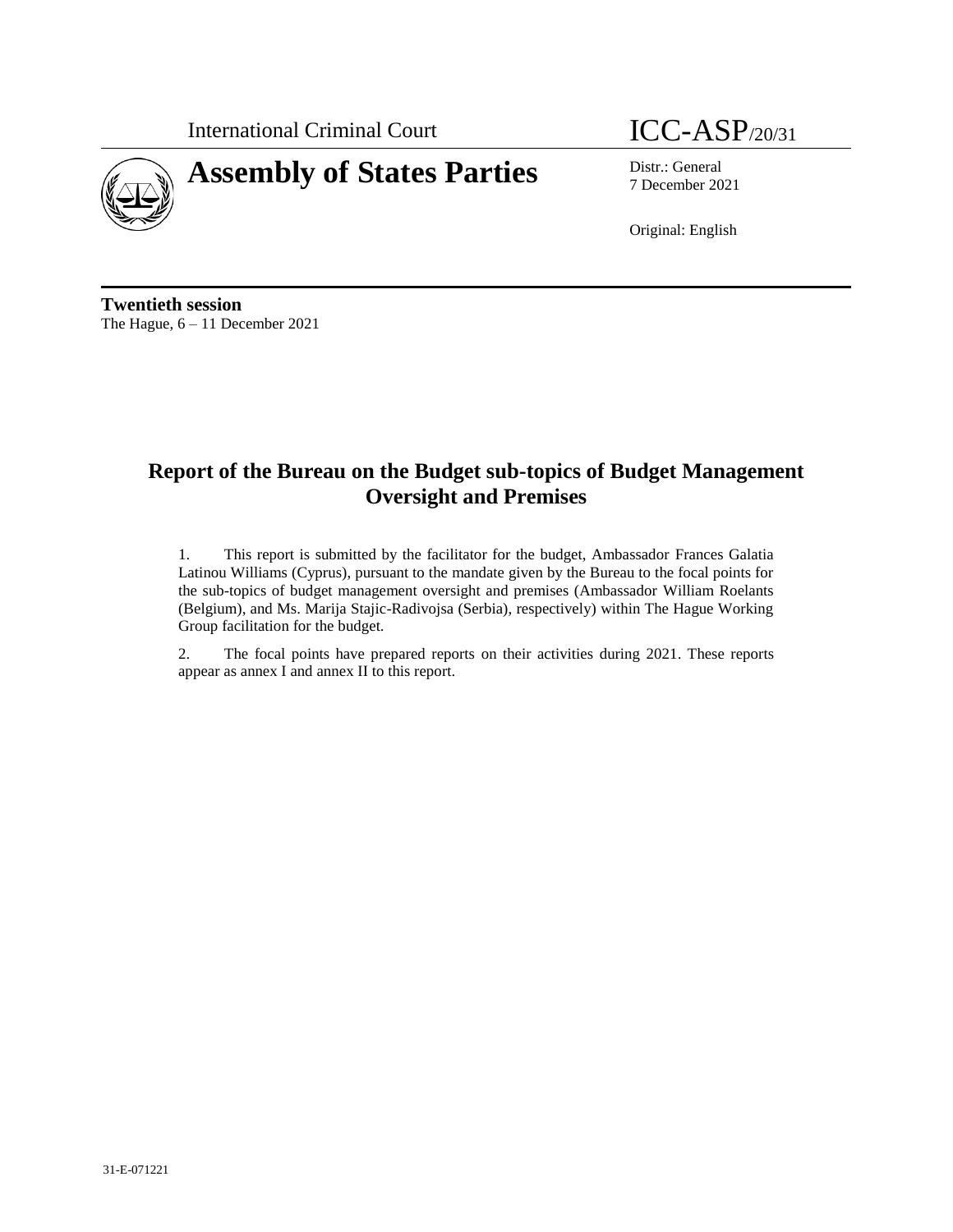International Criminal Court **ICC-ASP**/20/31



# **Assembly of States Parties** Distr.: General

7 December 2021

Original: English

**Twentieth session** The Hague, 6 – 11 December 2021

# **Report of the Bureau on the Budget sub-topics of Budget Management Oversight and Premises**

1. This report is submitted by the facilitator for the budget, Ambassador Frances Galatia Latinou Williams (Cyprus), pursuant to the mandate given by the Bureau to the focal points for the sub-topics of budget management oversight and premises (Ambassador William Roelants (Belgium), and Ms. Marija Stajic-Radivojsa (Serbia), respectively) within The Hague Working Group facilitation for the budget.

2. The focal points have prepared reports on their activities during 2021. These reports appear as annex I and annex II to this report.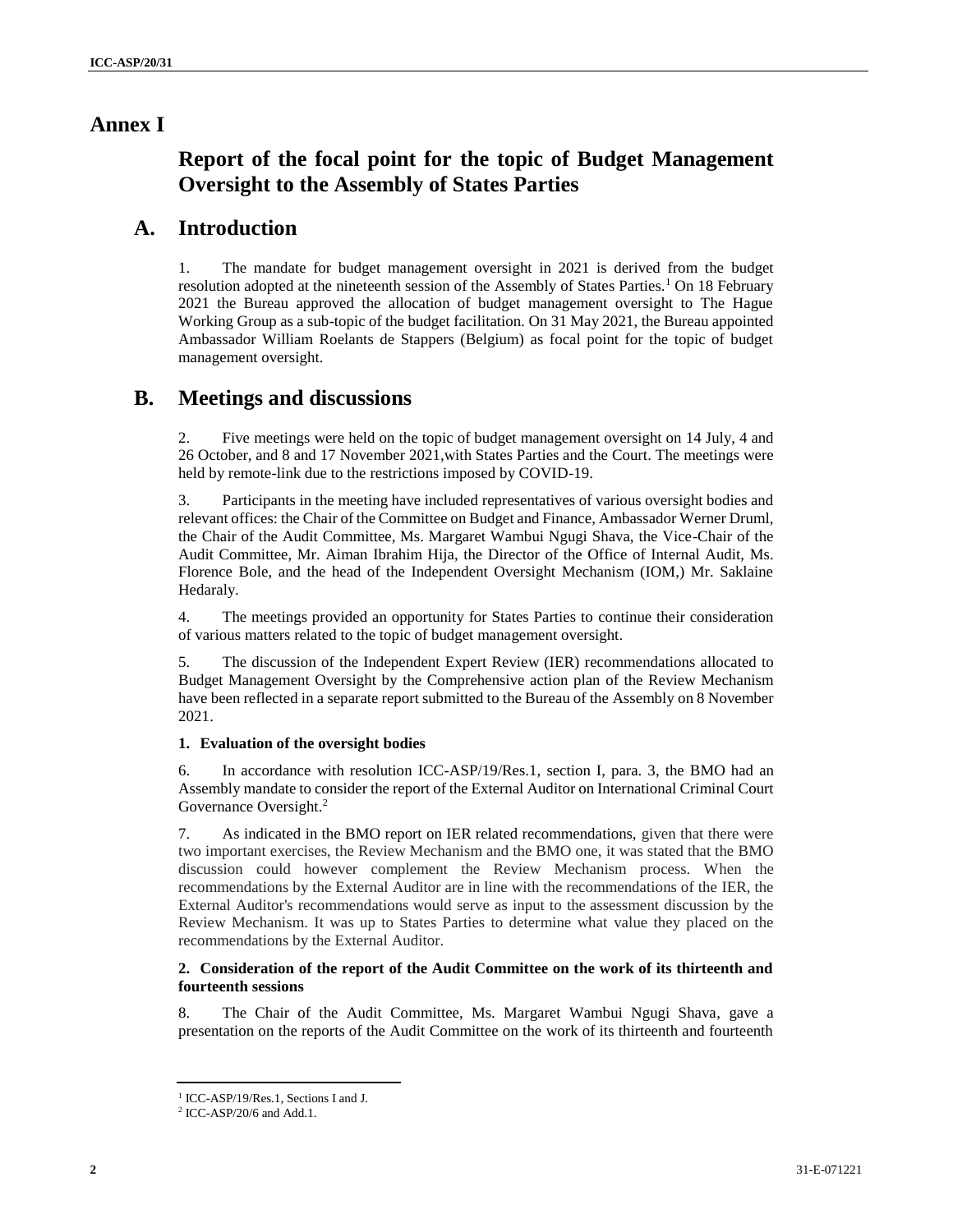# **Annex I**

# **Report of the focal point for the topic of Budget Management Oversight to the Assembly of States Parties**

# **A. Introduction**

1. The mandate for budget management oversight in 2021 is derived from the budget resolution adopted at the nineteenth session of the Assembly of States Parties.<sup>1</sup> On 18 February 2021 the Bureau approved the allocation of budget management oversight to The Hague Working Group as a sub-topic of the budget facilitation. On 31 May 2021, the Bureau appointed Ambassador William Roelants de Stappers (Belgium) as focal point for the topic of budget management oversight.

# **B. Meetings and discussions**

2. Five meetings were held on the topic of budget management oversight on 14 July, 4 and 26 October, and 8 and 17 November 2021,with States Parties and the Court. The meetings were held by remote-link due to the restrictions imposed by COVID-19.

3. Participants in the meeting have included representatives of various oversight bodies and relevant offices: the Chair of the Committee on Budget and Finance, Ambassador Werner Druml, the Chair of the Audit Committee, Ms. Margaret Wambui Ngugi Shava, the Vice-Chair of the Audit Committee, Mr. Aiman Ibrahim Hija, the Director of the Office of Internal Audit, Ms. Florence Bole, and the head of the Independent Oversight Mechanism (IOM,) Mr. Saklaine Hedaraly.

4. The meetings provided an opportunity for States Parties to continue their consideration of various matters related to the topic of budget management oversight.

5. The discussion of the Independent Expert Review (IER) recommendations allocated to Budget Management Oversight by the Comprehensive action plan of the Review Mechanism have been reflected in a separate report submitted to the Bureau of the Assembly on 8 November 2021.

# **1. Evaluation of the oversight bodies**

6. In accordance with resolution ICC-ASP/19/Res.1, section I, para. 3, the BMO had an Assembly mandate to consider the report of the External Auditor on International Criminal Court Governance Oversight. 2

7. As indicated in the BMO report on IER related recommendations, given that there were two important exercises, the Review Mechanism and the BMO one, it was stated that the BMO discussion could however complement the Review Mechanism process. When the recommendations by the External Auditor are in line with the recommendations of the IER, the External Auditor's recommendations would serve as input to the assessment discussion by the Review Mechanism. It was up to States Parties to determine what value they placed on the recommendations by the External Auditor.

# **2. Consideration of the report of the Audit Committee on the work of its thirteenth and fourteenth sessions**

8. The Chair of the Audit Committee, Ms. Margaret Wambui Ngugi Shava, gave a presentation on the reports of the Audit Committee on the work of its thirteenth and fourteenth

<sup>1</sup> ICC-ASP/19/Res.1, Sections I and J.

<sup>2</sup> ICC-ASP/20/6 and Add.1.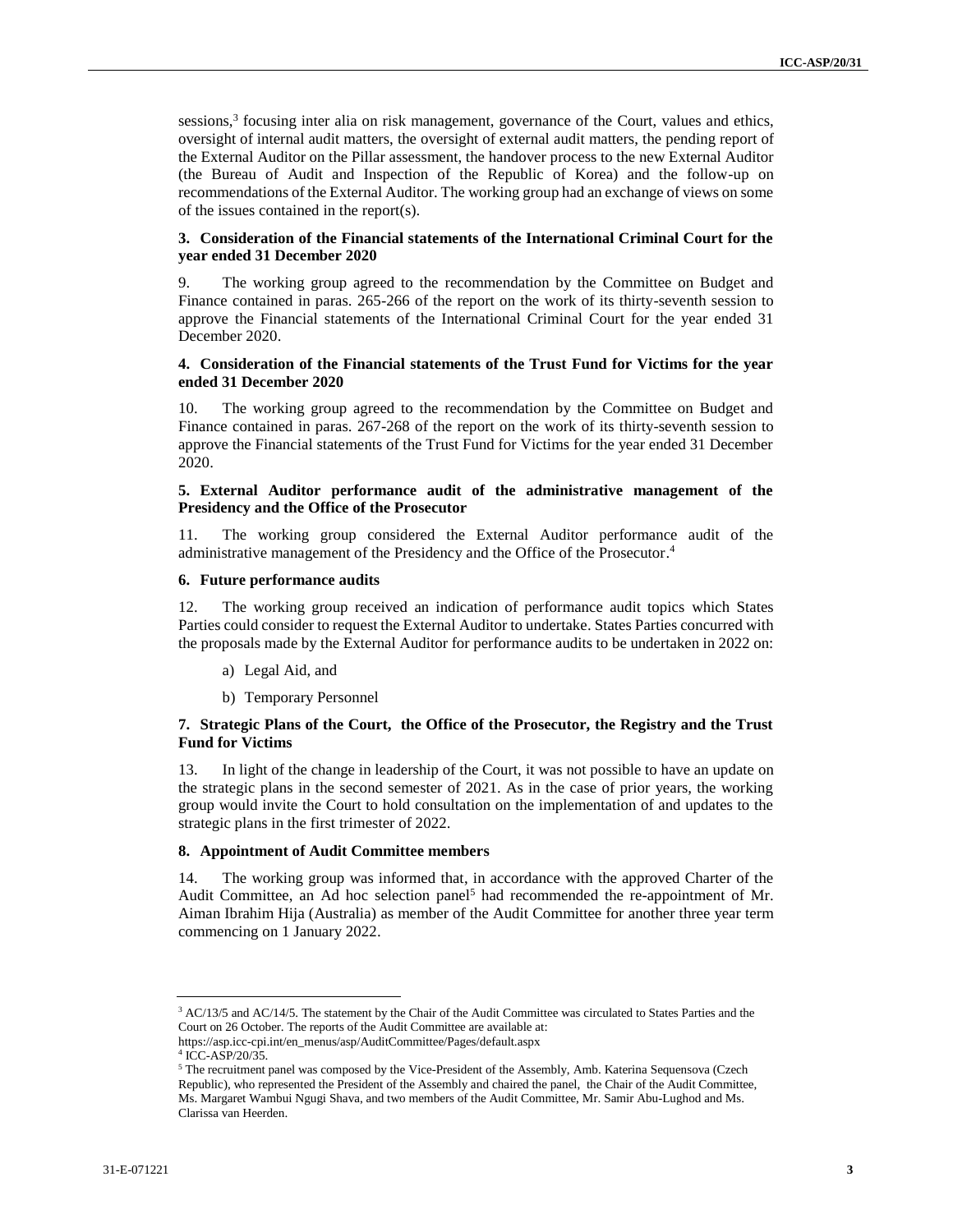sessions,<sup>3</sup> focusing inter alia on risk management, governance of the Court, values and ethics, oversight of internal audit matters, the oversight of external audit matters, the pending report of the External Auditor on the Pillar assessment, the handover process to the new External Auditor (the Bureau of Audit and Inspection of the Republic of Korea) and the follow-up on recommendations of the External Auditor. The working group had an exchange of views on some of the issues contained in the report(s).

### **3. Consideration of the Financial statements of the International Criminal Court for the year ended 31 December 2020**

The working group agreed to the recommendation by the Committee on Budget and Finance contained in paras. 265-266 of the report on the work of its thirty-seventh session to approve the Financial statements of the International Criminal Court for the year ended 31 December 2020.

### **4. Consideration of the Financial statements of the Trust Fund for Victims for the year ended 31 December 2020**

10. The working group agreed to the recommendation by the Committee on Budget and Finance contained in paras. 267-268 of the report on the work of its thirty-seventh session to approve the Financial statements of the Trust Fund for Victims for the year ended 31 December 2020.

### **5. External Auditor performance audit of the administrative management of the Presidency and the Office of the Prosecutor**

11. The working group considered the External Auditor performance audit of the administrative management of the Presidency and the Office of the Prosecutor. 4

#### **6. Future performance audits**

12. The working group received an indication of performance audit topics which States Parties could consider to request the External Auditor to undertake. States Parties concurred with the proposals made by the External Auditor for performance audits to be undertaken in 2022 on:

- a) Legal Aid, and
- b) Temporary Personnel

### **7. Strategic Plans of the Court, the Office of the Prosecutor, the Registry and the Trust Fund for Victims**

13. In light of the change in leadership of the Court, it was not possible to have an update on the strategic plans in the second semester of 2021. As in the case of prior years, the working group would invite the Court to hold consultation on the implementation of and updates to the strategic plans in the first trimester of 2022.

#### **8. Appointment of Audit Committee members**

14. The working group was informed that, in accordance with the approved Charter of the Audit Committee, an Ad hoc selection panel<sup>5</sup> had recommended the re-appointment of Mr. Aiman Ibrahim Hija (Australia) as member of the Audit Committee for another three year term commencing on 1 January 2022.

<sup>&</sup>lt;sup>3</sup> AC/13/5 and AC/14/5. The statement by the Chair of the Audit Committee was circulated to States Parties and the Court on 26 October. The reports of the Audit Committee are available at:

https://asp.icc-cpi.int/en\_menus/asp/AuditCommittee/Pages/default.aspx

<sup>4</sup> ICC-ASP/20/35.

<sup>&</sup>lt;sup>5</sup> The recruitment panel was composed by the Vice-President of the Assembly, Amb. Katerina Sequensova (Czech Republic), who represented the President of the Assembly and chaired the panel, the Chair of the Audit Committee, Ms. Margaret Wambui Ngugi Shava, and two members of the Audit Committee, Mr. Samir Abu-Lughod and Ms. Clarissa van Heerden.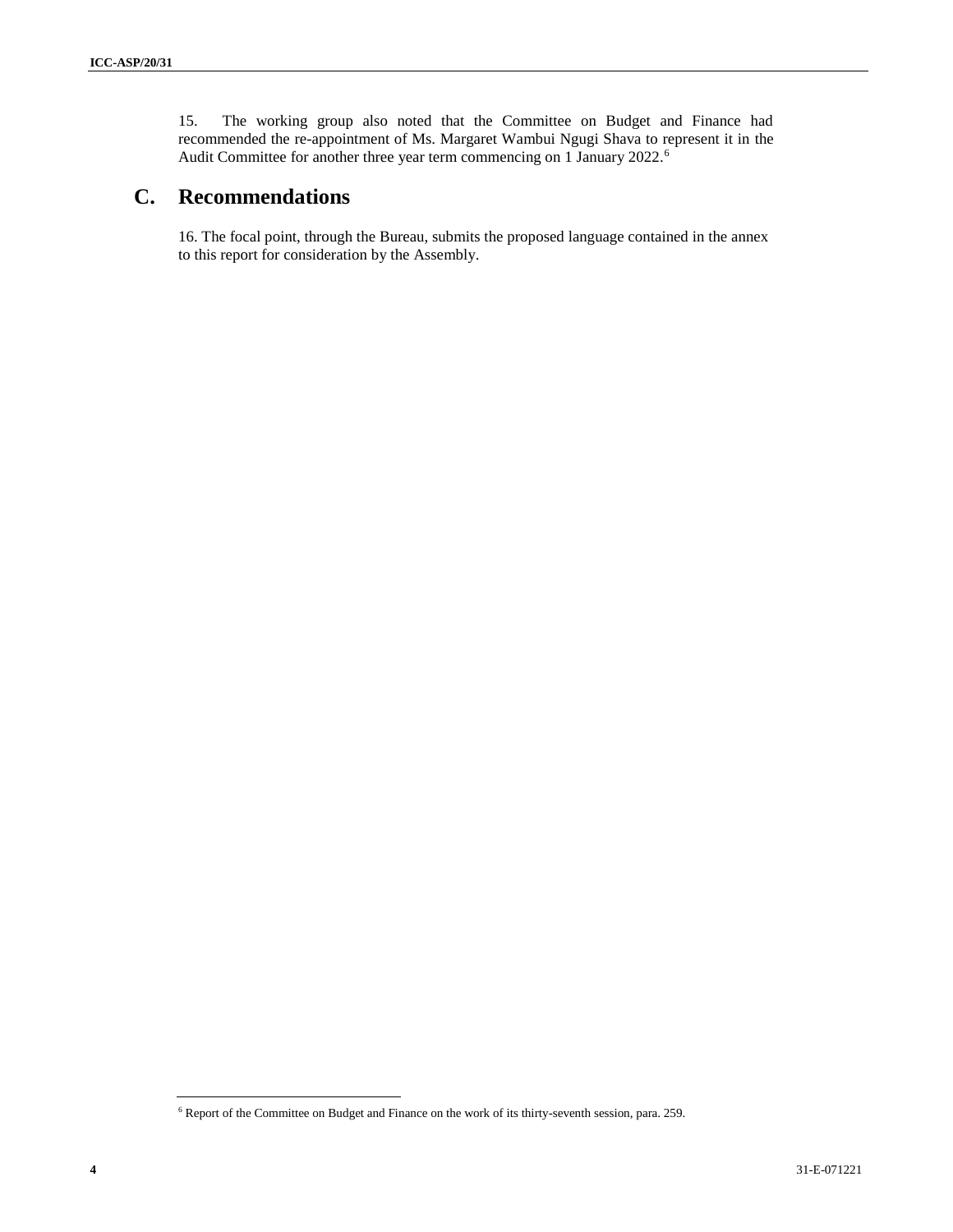15. The working group also noted that the Committee on Budget and Finance had recommended the re-appointment of Ms. Margaret Wambui Ngugi Shava to represent it in the Audit Committee for another three year term commencing on 1 January 2022.<sup>6</sup>

# **C. Recommendations**

16. The focal point, through the Bureau, submits the proposed language contained in the annex to this report for consideration by the Assembly.

<sup>6</sup> Report of the Committee on Budget and Finance on the work of its thirty-seventh session, para. 259.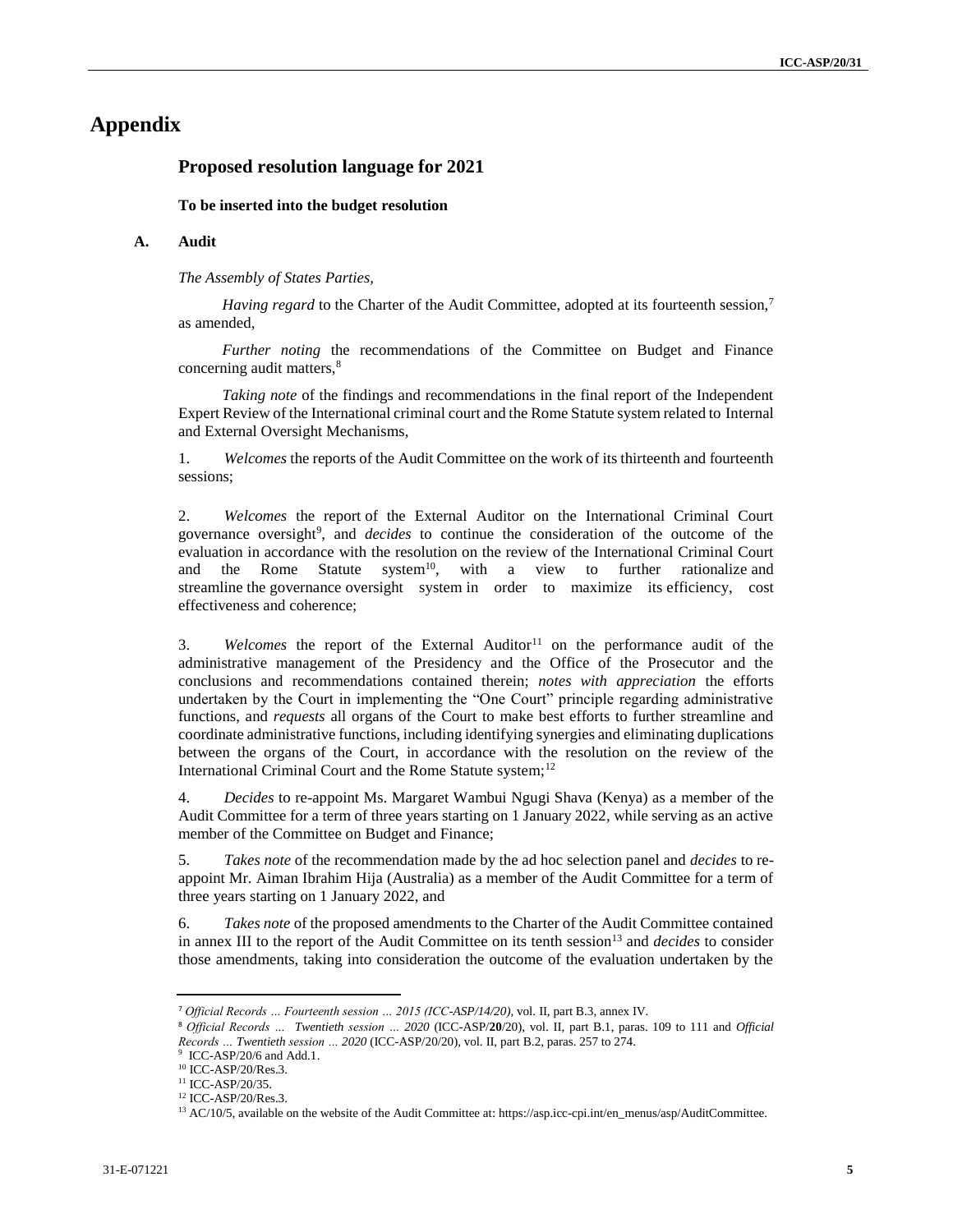# **Appendix**

# **Proposed resolution language for 2021**

#### **To be inserted into the budget resolution**

### **A. Audit**

*The Assembly of States Parties,*

*Having regard* to the Charter of the Audit Committee, adopted at its fourteenth session,<sup>7</sup> as amended,

*Further noting* the recommendations of the Committee on Budget and Finance concerning audit matters,<sup>8</sup>

*Taking note* of the findings and recommendations in the final report of the Independent Expert Review of the International criminal court and the Rome Statute system related to Internal and External Oversight Mechanisms,

1. *Welcomes* the reports of the Audit Committee on the work of its thirteenth and fourteenth sessions;

2. *Welcomes* the report of the External Auditor on the International Criminal Court governance oversight<sup>9</sup>, and *decides* to continue the consideration of the outcome of the evaluation in accordance with the resolution on the review of the International Criminal Court and the Rome Statute system<sup>10</sup>, with a view to further rationalize and streamline the governance oversight system in order to maximize its efficiency, cost effectiveness and coherence;

3. *Welcomes* the report of the External Auditor<sup>11</sup> on the performance audit of the administrative management of the Presidency and the Office of the Prosecutor and the conclusions and recommendations contained therein; *notes with appreciation* the efforts undertaken by the Court in implementing the "One Court" principle regarding administrative functions, and *requests* all organs of the Court to make best efforts to further streamline and coordinate administrative functions, including identifying synergies and eliminating duplications between the organs of the Court, in accordance with the resolution on the review of the International Criminal Court and the Rome Statute system;<sup>12</sup>

4. *Decides* to re-appoint Ms. Margaret Wambui Ngugi Shava (Kenya) as a member of the Audit Committee for a term of three years starting on 1 January 2022, while serving as an active member of the Committee on Budget and Finance;

5. *Takes note* of the recommendation made by the ad hoc selection panel and *decides* to reappoint Mr. Aiman Ibrahim Hija (Australia) as a member of the Audit Committee for a term of three years starting on 1 January 2022, and

6. *Takes note* of the proposed amendments to the Charter of the Audit Committee contained in annex III to the report of the Audit Committee on its tenth session<sup>13</sup> and *decides* to consider those amendments, taking into consideration the outcome of the evaluation undertaken by the

<sup>10</sup> ICC-ASP/20/Res.3.

<sup>7</sup> *Official Records … Fourteenth session … 2015 (ICC-ASP/14/20),* vol. II, part B.3, annex IV.

<sup>8</sup> *Official Records … Twentieth session … 2020* (ICC-ASP/**20**/20), vol. II, part B.1, paras. 109 to 111 and *Official Records … Twentieth session … 2020* (ICC-ASP/20/20), vol. II, part B.2, paras. 257 to 274.

<sup>&</sup>lt;sup>9</sup> ICC-ASP/20/6 and Add.1.

<sup>11</sup> ICC-ASP/20/35.

<sup>12</sup> ICC-ASP/20/Res.3.

<sup>13</sup> AC/10/5, available on the website of the Audit Committee at: https://asp.icc-cpi.int/en\_menus/asp/AuditCommittee.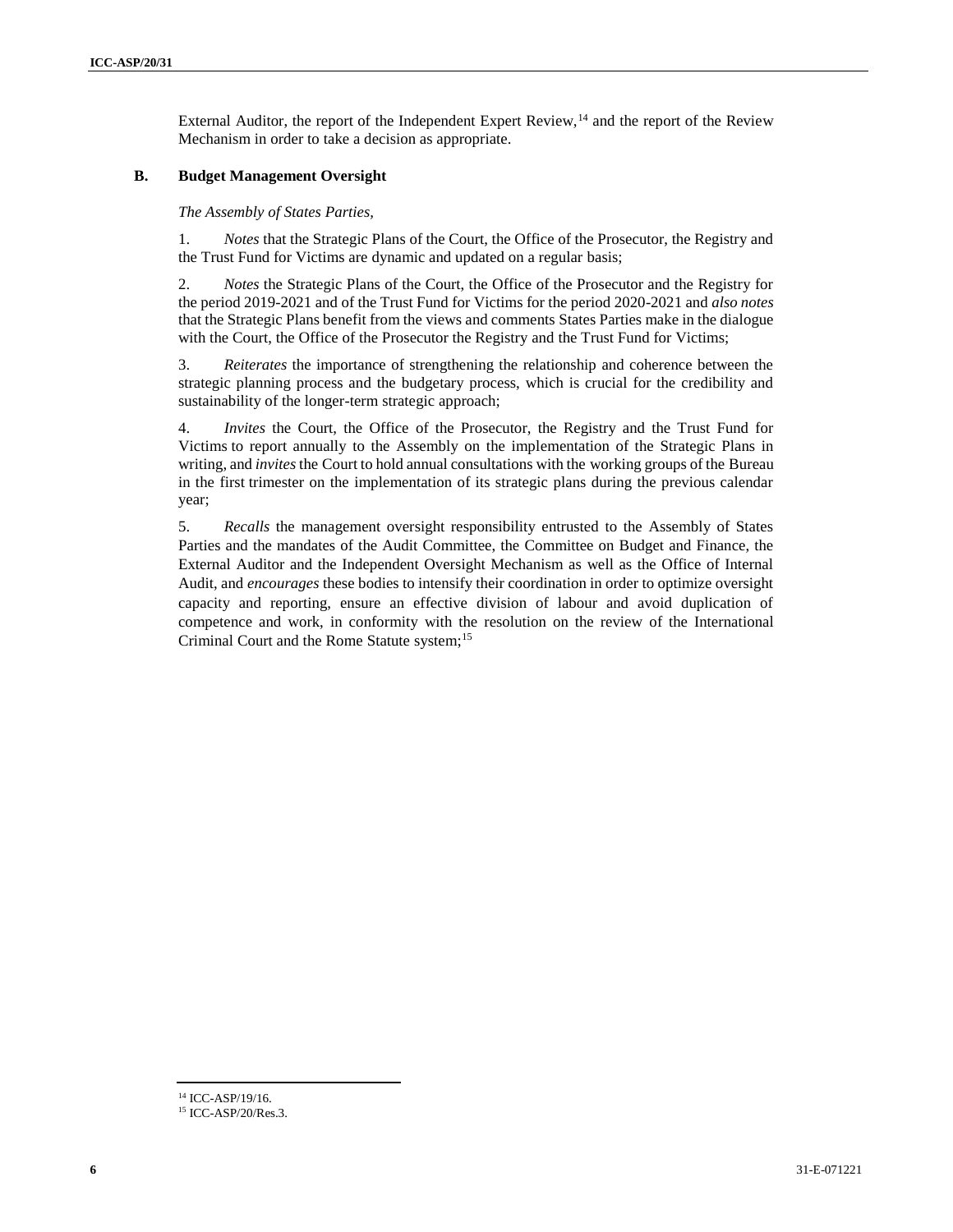External Auditor, the report of the Independent Expert Review,  $\frac{14}{4}$  and the report of the Review Mechanism in order to take a decision as appropriate.

# **B. Budget Management Oversight**

*The Assembly of States Parties,*

1. *Notes* that the Strategic Plans of the Court, the Office of the Prosecutor, the Registry and the Trust Fund for Victims are dynamic and updated on a regular basis;

2. *Notes* the Strategic Plans of the Court, the Office of the Prosecutor and the Registry for the period 2019-2021 and of the Trust Fund for Victims for the period 2020-2021 and *also notes* that the Strategic Plans benefit from the views and comments States Parties make in the dialogue with the Court, the Office of the Prosecutor the Registry and the Trust Fund for Victims;

3. *Reiterates* the importance of strengthening the relationship and coherence between the strategic planning process and the budgetary process, which is crucial for the credibility and sustainability of the longer-term strategic approach;

4. *Invites* the Court, the Office of the Prosecutor, the Registry and the Trust Fund for Victims to report annually to the Assembly on the implementation of the Strategic Plans in writing, and *invites*the Court to hold annual consultations with the working groups of the Bureau in the first trimester on the implementation of its strategic plans during the previous calendar year;

5. *Recalls* the management oversight responsibility entrusted to the Assembly of States Parties and the mandates of the Audit Committee, the Committee on Budget and Finance, the External Auditor and the Independent Oversight Mechanism as well as the Office of Internal Audit, and *encourages* these bodies to intensify their coordination in order to optimize oversight capacity and reporting, ensure an effective division of labour and avoid duplication of competence and work, in conformity with the resolution on the review of the International Criminal Court and the Rome Statute system;<sup>15</sup>

<sup>&</sup>lt;sup>14</sup> ICC-ASP/19/16.

<sup>15</sup> ICC-ASP/20/Res.3.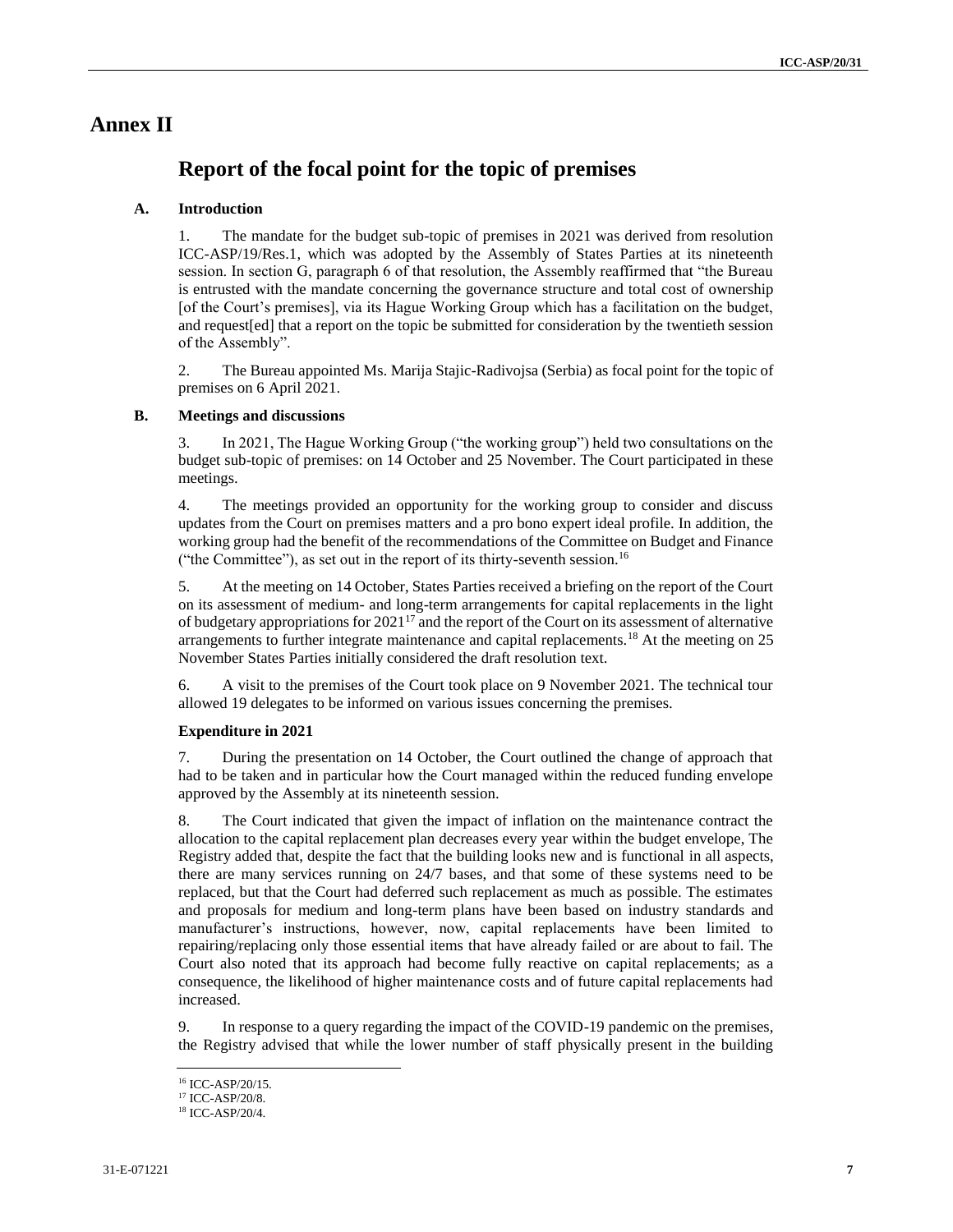# **Annex II**

# **Report of the focal point for the topic of premises**

# **A. Introduction**

1. The mandate for the budget sub-topic of premises in 2021 was derived from resolution ICC-ASP/19/Res.1, which was adopted by the Assembly of States Parties at its nineteenth session. In section G, paragraph 6 of that resolution, the Assembly reaffirmed that "the Bureau is entrusted with the mandate concerning the governance structure and total cost of ownership [of the Court's premises], via its Hague Working Group which has a facilitation on the budget, and request[ed] that a report on the topic be submitted for consideration by the twentieth session of the Assembly".

2. The Bureau appointed Ms. Marija Stajic-Radivojsa (Serbia) as focal point for the topic of premises on 6 April 2021.

# **B. Meetings and discussions**

3. In 2021, The Hague Working Group ("the working group") held two consultations on the budget sub-topic of premises: on 14 October and 25 November. The Court participated in these meetings.

4. The meetings provided an opportunity for the working group to consider and discuss updates from the Court on premises matters and a pro bono expert ideal profile. In addition, the working group had the benefit of the recommendations of the Committee on Budget and Finance ("the Committee"), as set out in the report of its thirty-seventh session.<sup>16</sup>

5. At the meeting on 14 October, States Parties received a briefing on the report of the Court on its assessment of medium- and long-term arrangements for capital replacements in the light of budgetary appropriations for  $2021^{17}$  and the report of the Court on its assessment of alternative arrangements to further integrate maintenance and capital replacements.<sup>18</sup> At the meeting on 25 November States Parties initially considered the draft resolution text.

6. A visit to the premises of the Court took place on 9 November 2021. The technical tour allowed 19 delegates to be informed on various issues concerning the premises.

# **Expenditure in 2021**

7. During the presentation on 14 October, the Court outlined the change of approach that had to be taken and in particular how the Court managed within the reduced funding envelope approved by the Assembly at its nineteenth session.

8. The Court indicated that given the impact of inflation on the maintenance contract the allocation to the capital replacement plan decreases every year within the budget envelope, The Registry added that, despite the fact that the building looks new and is functional in all aspects, there are many services running on 24/7 bases, and that some of these systems need to be replaced, but that the Court had deferred such replacement as much as possible. The estimates and proposals for medium and long-term plans have been based on industry standards and manufacturer's instructions, however, now, capital replacements have been limited to repairing/replacing only those essential items that have already failed or are about to fail. The Court also noted that its approach had become fully reactive on capital replacements; as a consequence, the likelihood of higher maintenance costs and of future capital replacements had increased.

9. In response to a query regarding the impact of the COVID-19 pandemic on the premises, the Registry advised that while the lower number of staff physically present in the building

<sup>16</sup> ICC-ASP/20/15.

<sup>&</sup>lt;sup>17</sup> ICC-ASP/20/8.

<sup>18</sup> ICC-ASP/20/4.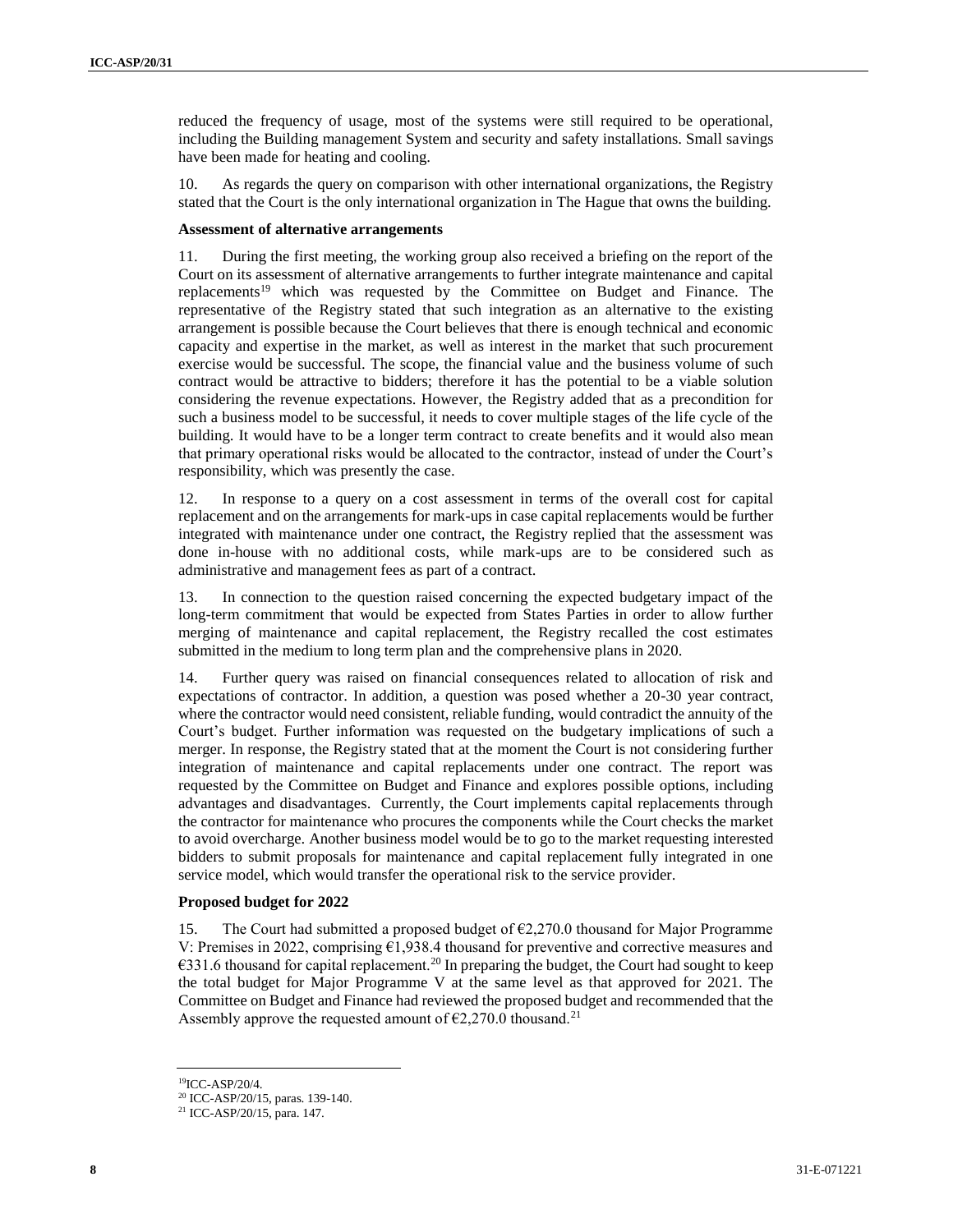reduced the frequency of usage, most of the systems were still required to be operational, including the Building management System and security and safety installations. Small savings have been made for heating and cooling.

10. As regards the query on comparison with other international organizations, the Registry stated that the Court is the only international organization in The Hague that owns the building.

#### **Assessment of alternative arrangements**

11. During the first meeting, the working group also received a briefing on the report of the Court on its assessment of alternative arrangements to further integrate maintenance and capital replacements<sup>19</sup> which was requested by the Committee on Budget and Finance. The representative of the Registry stated that such integration as an alternative to the existing arrangement is possible because the Court believes that there is enough technical and economic capacity and expertise in the market, as well as interest in the market that such procurement exercise would be successful. The scope, the financial value and the business volume of such contract would be attractive to bidders; therefore it has the potential to be a viable solution considering the revenue expectations. However, the Registry added that as a precondition for such a business model to be successful, it needs to cover multiple stages of the life cycle of the building. It would have to be a longer term contract to create benefits and it would also mean that primary operational risks would be allocated to the contractor, instead of under the Court's responsibility, which was presently the case.

12. In response to a query on a cost assessment in terms of the overall cost for capital replacement and on the arrangements for mark-ups in case capital replacements would be further integrated with maintenance under one contract, the Registry replied that the assessment was done in-house with no additional costs, while mark-ups are to be considered such as administrative and management fees as part of a contract.

13. In connection to the question raised concerning the expected budgetary impact of the long-term commitment that would be expected from States Parties in order to allow further merging of maintenance and capital replacement, the Registry recalled the cost estimates submitted in the medium to long term plan and the comprehensive plans in 2020.

14. Further query was raised on financial consequences related to allocation of risk and expectations of contractor. In addition, a question was posed whether a 20-30 year contract, where the contractor would need consistent, reliable funding, would contradict the annuity of the Court's budget. Further information was requested on the budgetary implications of such a merger. In response, the Registry stated that at the moment the Court is not considering further integration of maintenance and capital replacements under one contract. The report was requested by the Committee on Budget and Finance and explores possible options, including advantages and disadvantages. Currently, the Court implements capital replacements through the contractor for maintenance who procures the components while the Court checks the market to avoid overcharge. Another business model would be to go to the market requesting interested bidders to submit proposals for maintenance and capital replacement fully integrated in one service model, which would transfer the operational risk to the service provider.

#### **Proposed budget for 2022**

15. The Court had submitted a proposed budget of  $\epsilon$ 2,270.0 thousand for Major Programme V: Premises in 2022, comprising  $E1,938.4$  thousand for preventive and corrective measures and  $€331.6$  thousand for capital replacement.<sup>20</sup> In preparing the budget, the Court had sought to keep the total budget for Major Programme V at the same level as that approved for 2021. The Committee on Budget and Finance had reviewed the proposed budget and recommended that the Assembly approve the requested amount of  $\epsilon$ 2,270.0 thousand.<sup>21</sup>

<sup>19</sup>ICC-ASP/20/4.

<sup>20</sup> ICC-ASP/20/15, paras. 139-140.

<sup>21</sup> ICC-ASP/20/15, para. 147.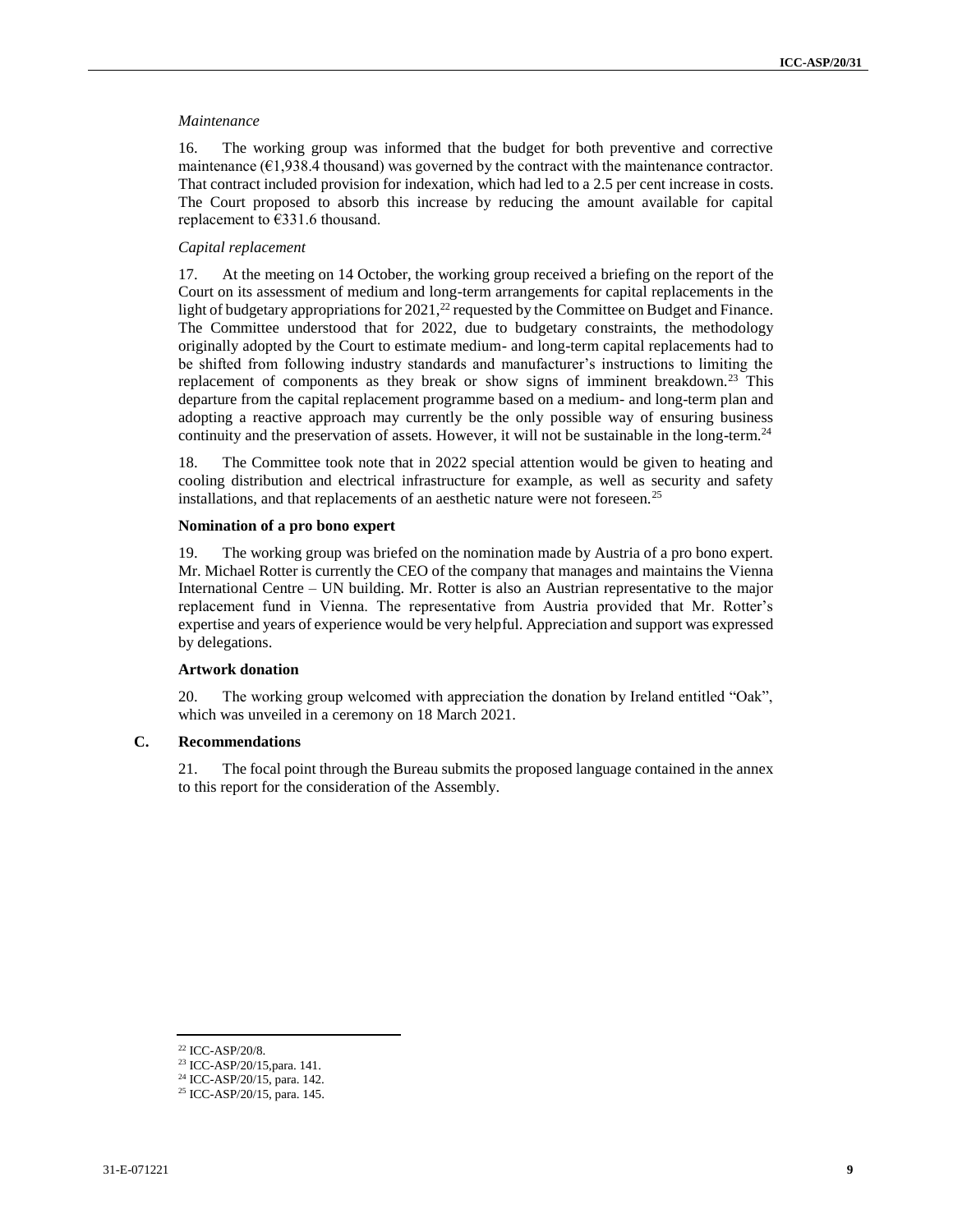#### *Maintenance*

16. The working group was informed that the budget for both preventive and corrective maintenance ( $\epsilon$ 1,938.4 thousand) was governed by the contract with the maintenance contractor. That contract included provision for indexation, which had led to a 2.5 per cent increase in costs. The Court proposed to absorb this increase by reducing the amount available for capital replacement to €331.6 thousand.

### *Capital replacement*

17. At the meeting on 14 October, the working group received a briefing on the report of the Court on its assessment of medium and long-term arrangements for capital replacements in the light of budgetary appropriations for 2021,<sup>22</sup> requested by the Committee on Budget and Finance. The Committee understood that for 2022, due to budgetary constraints, the methodology originally adopted by the Court to estimate medium- and long-term capital replacements had to be shifted from following industry standards and manufacturer's instructions to limiting the replacement of components as they break or show signs of imminent breakdown.<sup>23</sup> This departure from the capital replacement programme based on a medium- and long-term plan and adopting a reactive approach may currently be the only possible way of ensuring business continuity and the preservation of assets. However, it will not be sustainable in the long-term.<sup>24</sup>

18. The Committee took note that in 2022 special attention would be given to heating and cooling distribution and electrical infrastructure for example, as well as security and safety installations, and that replacements of an aesthetic nature were not foreseen.<sup>25</sup>

#### **Nomination of a pro bono expert**

19. The working group was briefed on the nomination made by Austria of a pro bono expert. Mr. Michael Rotter is currently the CEO of the company that manages and maintains the Vienna International Centre – UN building. Mr. Rotter is also an Austrian representative to the major replacement fund in Vienna. The representative from Austria provided that Mr. Rotter's expertise and years of experience would be very helpful. Appreciation and support was expressed by delegations.

### **Artwork donation**

20. The working group welcomed with appreciation the donation by Ireland entitled "Oak", which was unveiled in a ceremony on 18 March 2021.

#### **C. Recommendations**

21. The focal point through the Bureau submits the proposed language contained in the annex to this report for the consideration of the Assembly.

<sup>22</sup> ICC-ASP/20/8.

<sup>23</sup> ICC-ASP/20/15,para. 141.

<sup>24</sup> ICC-ASP/20/15, para. 142.

<sup>25</sup> ICC-ASP/20/15, para. 145.